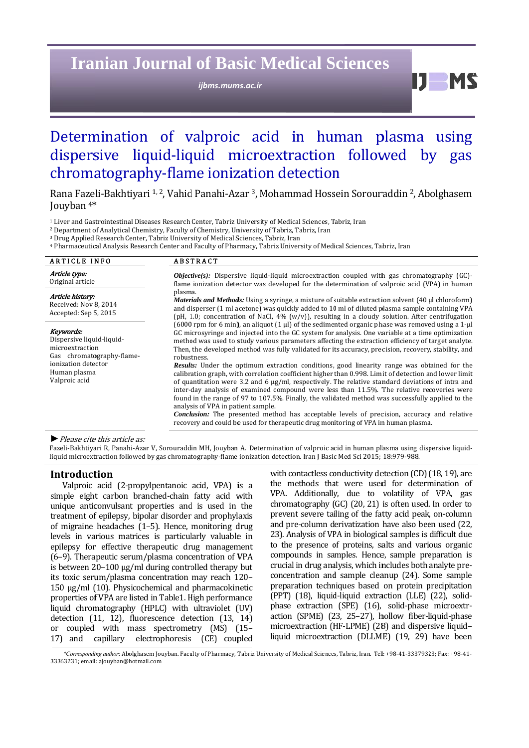# **Iranian Journal of Basic Medical Sciences**

ijbms.mums.ac.ir

D. **M** 

## Determination of valproic acid in human plasma using dispersive liquid-liquid microextraction followed by gas chromatography-flame ionization detection

Rana Fazeli-Bakhtiyari <sup>1, 2</sup>, Vahid Panahi-Azar<sup>3</sup>, Mohammad Hossein Sorouraddin <sup>2</sup>, Abolghasem Jouyban<sup>4\*</sup>

<sup>1</sup> Liver and Gastrointestinal Diseases Research Center, Tabriz University of Medical Sciences, Tabriz, Iran

<sup>2</sup> Department of Analytical Chemistry, Faculty of Chemistry, University of Tabriz, Tabriz, Iran

<sup>3</sup> Drug Applied Research Center, Tabriz University of Medical Sciences, Tabriz, Iran

<sup>4</sup> Pharmaceutical Analysis Research Center and Faculty of Pharmacy, Tabriz University of Medical Sciences, Tabriz, Iran

| <b>ARTICLE INFO</b>                                                                                                                            | <b>ABSTRACT</b>                                                                                                                                                                                                                                                                                                                                                                                                                                                                                                                                                |
|------------------------------------------------------------------------------------------------------------------------------------------------|----------------------------------------------------------------------------------------------------------------------------------------------------------------------------------------------------------------------------------------------------------------------------------------------------------------------------------------------------------------------------------------------------------------------------------------------------------------------------------------------------------------------------------------------------------------|
| Article type:<br>Original article                                                                                                              | <i>Objective(s):</i> Dispersive liquid-liquid microextraction coupled with gas chromatography $(GC)$ -<br>flame ionization detector was developed for the determination of valproic acid (VPA) in human                                                                                                                                                                                                                                                                                                                                                        |
| Article history:<br>Received: Nov 8, 2014<br>Accepted: Sep 5, 2015                                                                             | plasma.<br>Materials and Methods: Using a syringe, a mixture of suitable extraction solvent (40 µl chloroform)<br>and disperser (1 ml acetone) was quickly added to 10 ml of diluted plasma sample containing VPA<br>(pH, 1.0; concentration of NaCl, 4% $(w/v)$ ), resulting in a cloudy solution. After centrifugation                                                                                                                                                                                                                                       |
| Keywords:<br>Dispersive liquid-liquid-<br>microextraction<br>Gas chromatography-flame-<br>ionization detector<br>Human plasma<br>Valproic acid | (6000 rpm for 6 min), an aliquot (1 µl) of the sedimented organic phase was removed using a 1-µl<br>GC microsyringe and injected into the GC system for analysis. One variable at a time optimization<br>method was used to study various parameters affecting the extraction efficiency of target analyte.<br>Then, the developed method was fully validated for its accuracy, precision, recovery, stability, and<br>robustness.                                                                                                                             |
|                                                                                                                                                | <b>Results:</b> Under the optimum extraction conditions, good linearity range was obtained for the<br>calibration graph, with correlation coefficient higher than 0.998. Limit of detection and lower limit<br>of quantitation were 3.2 and 6 $\mu$ g/ml, respectively. The relative standard deviations of intra and<br>inter-day analysis of examined compound were less than 11.5%. The relative recoveries were<br>found in the range of 97 to 107.5%. Finally, the validated method was successfully applied to the<br>analysis of VPA in patient sample. |
|                                                                                                                                                | <b>Conclusion:</b> The presented method has acceptable levels of precision, accuracy and relative<br>recovery and could be used for therapeutic drug monitoring of VPA in human plasma.                                                                                                                                                                                                                                                                                                                                                                        |

#### $\blacktriangleright$  Please cite this article as:

Fazeli-Bakhtiyari R, Panahi-Azar V, Sorouraddin MH, Jouyban A. Determination of valproic acid in human plasma using dispersive liquidliquid microextraction followed by gas chromatography-flame ionization detection. Iran J Basic Med Sci 2015; 18:979-988.

#### Introduction

Valproic acid (2-propylpentanoic acid, VPA) is a simple eight carbon branched-chain fatty acid with unique anticonvulsant properties and is used in the treatment of epilepsy, bipolar disorder and prophylaxis of migraine headaches (1-5). Hence, monitoring drug levels in various matrices is particularly valuable in epilepsy for effective therapeutic drug management (6-9). Therapeutic serum/plasma concentration of VPA is between 20-100 µg/ml during controlled therapy but its toxic serum/plasma concentration may reach 120-150 μg/ml (10). Physicochemical and pharmacokinetic properties of VPA are listed in Table1. High performance liquid chromatography (HPLC) with ultraviolet (UV) detection (11, 12), fluorescence detection (13, 14) or coupled with mass spectrometry (MS) (15-17) and capillary electrophoresis (CE) coupled

with contactless conductivity detection (CD) (18, 19), are the methods that were used for determination of VPA. Additionally, due to volatility of VPA, gas chromatography (GC) (20, 21) is often used. In order to prevent severe tailing of the fatty acid peak, on-column and pre-column derivatization have also been used (22, 23). Analysis of VPA in biological samples is difficult due to the presence of proteins, salts and various organic compounds in samples. Hence, sample preparation is crucial in drug analysis, which includes both analyte preconcentration and sample cleanup (24). Some sample preparation techniques based on protein precipitation (PPT) (18), liquid-liquid extraction (LLE) (22), solidphase extraction (SPE) (16), solid-phase microextraction (SPME) (23, 25-27), hollow fiber-liquid-phase microextraction (HF-LPME) (28) and dispersive liquidliquid microextraction (DLLME) (19, 29) have been

\*Corresponding author: Abolghasem Jouyban. Faculty of Pharmacy, Tabriz University of Medical Sciences, Tabriz, Iran. Tel: +98-41-33379323; Fax: +98-41-33363231: email: ajouvban@hotmail.com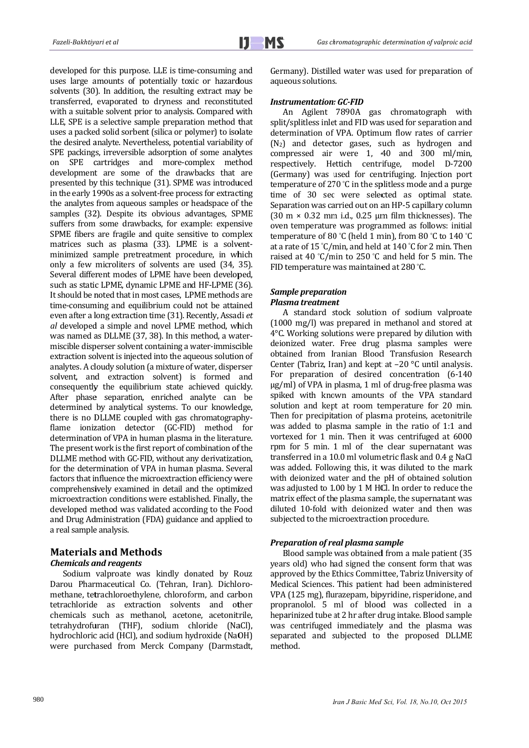developed for this purpose. LLE is time-consuming and uses large amounts of potentially toxic or hazardous solvents (30). In addition, the resulting extract may be transferred, evaporated to dryness and reconstituted with a suitable solvent prior to analysis. Compared with LLE, SPE is a selective sample preparation method that uses a packed solid sorbent (silica or polymer) to isolate the desired analyte. Nevertheless, potential variability of SPE packings, irreversible adsorption of some analytes on SPE cartridges and more-complex method development are some of the drawbacks that are presented by this technique (31). SPME was introduced in the early 1990s as a solvent-free process for extracting the analytes from aqueous samples or headspace of the samples (32). Despite its obvious advantages, SPME suffers from some drawbacks, for example: expensive SPME fibers are fragile and quite sensitive to complex matrices such as plasma (33). LPME is a solventminimized sample pretreatment procedure, in which only a few microliters of solvents are used (34, 35). Several different modes of LPME have been developed, such as static LPME, dynamic LPME and HF-LPME (36). It should be noted that in most cases, LPME methods are time-consuming and equilibrium could not be attained even after a long extraction time (31). Recently, Assadi et al developed a simple and novel LPME method, which was named as DLLME (37, 38). In this method, a watermiscible disperser solvent containing a water-immiscible extraction solvent is injected into the aqueous solution of analytes. A cloudy solution (a mixture of water, disperser solvent, and extraction solvent) is formed and consequently the equilibrium state achieved quickly. After phase separation, enriched analyte can be determined by analytical systems. To our knowledge, there is no DLLME coupled with gas chromatographyflame ionization detector (GC-FID) method for determination of VPA in human plasma in the literature. The present work is the first report of combination of the DLLME method with GC-FID, without any derivatization, for the determination of VPA in human plasma. Several factors that influence the microextraction efficiency were comprehensively examined in detail and the optimized microextraction conditions were established. Finally, the developed method was validated according to the Food and Drug Administration (FDA) guidance and applied to a real sample analysis.

## **Materials and Methods**

## **Chemicals and reagents**

Sodium valproate was kindly donated by Rouz Darou Pharmaceutical Co. (Tehran, Iran). Dichloromethane, tetrachloroethylene, chloroform, and carbon tetrachloride as extraction solvents and other chemicals such as methanol, acetone, acetonitrile, tetrahydrofuran (THF), sodium chloride (NaCl), hydrochloric acid (HCl), and sodium hydroxide (NaOH) were purchased from Merck Company (Darmstadt, Germany). Distilled water was used for preparation of aqueous solutions.

#### **Instrumentation: GC-FID**

An Agilent 7890A gas chromatograph with split/splitless inlet and FID was used for separation and determination of VPA. Optimum flow rates of carrier  $(N_2)$  and detector gases, such as hydrogen and compressed air were 1, 40 and 300 ml/min, respectively. Hettich centrifuge, model D-7200 (Germany) was used for centrifuging. Injection port temperature of 270 °C in the splitless mode and a purge time of 30 sec were selected as optimal state. Separation was carried out on an HP-5 capillary column (30 m  $\times$  0.32 mm i.d., 0.25 µm film thicknesses). The oven temperature was programmed as follows: initial temperature of 80 °C (held 1 min), from 80 °C to 140 °C at a rate of 15 °C/min, and held at 140 °C for 2 min. Then raised at 40 °C/min to 250 °C and held for 5 min. The FID temperature was maintained at 280 °C.

#### **Sample preparation Plasma treatment**

A standard stock solution of sodium valproate (1000 mg/l) was prepared in methanol and stored at 4°C. Working solutions were prepared by dilution with deionized water. Free drug plasma samples were obtained from Iranian Blood Transfusion Research Center (Tabriz, Iran) and kept at  $-20$  °C until analysis. For preparation of desired concentration (6-140 ug/ml) of VPA in plasma. 1 ml of drug-free plasma was spiked with known amounts of the VPA standard solution and kept at room temperature for 20 min. Then for precipitation of plasma proteins, acetonitrile was added to plasma sample in the ratio of 1:1 and vortexed for 1 min. Then it was centrifuged at 6000 rpm for 5 min. 1 ml of the clear supernatant was transferred in a 10.0 ml volumetric flask and 0.4 g NaCl was added. Following this, it was diluted to the mark with deionized water and the pH of obtained solution was adjusted to 1.00 by 1 M HCl. In order to reduce the matrix effect of the plasma sample, the supernatant was diluted 10-fold with deionized water and then was subjected to the microextraction procedure.

#### Preparation of real plasma sample

Blood sample was obtained from a male patient (35 years old) who had signed the consent form that was approved by the Ethics Committee, Tabriz University of Medical Sciences. This patient had been administered VPA (125 mg), flurazepam, bipyridine, risperidone, and propranolol. 5 ml of blood was collected in a heparinized tube at 2 hr after drug intake. Blood sample was centrifuged immediately and the plasma was separated and subjected to the proposed DLLME method.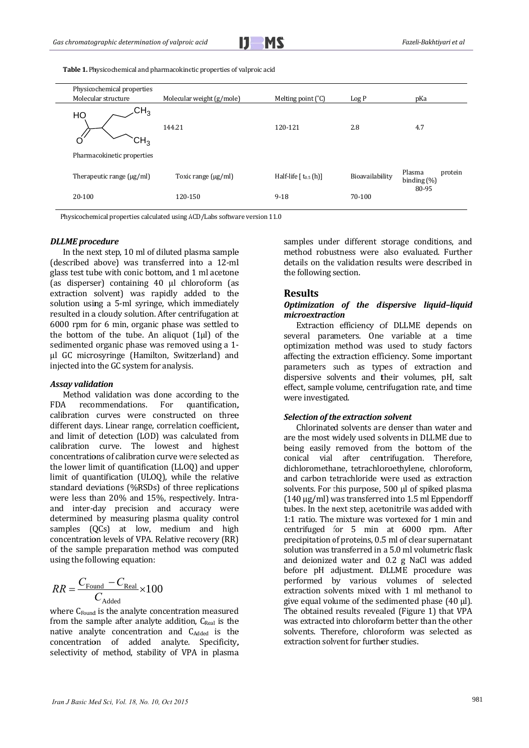

Table 1. Physicochemical and pharmacokinetic properties of valproic acid

| Molecular structure            |                           |                             |                 |                                     |
|--------------------------------|---------------------------|-----------------------------|-----------------|-------------------------------------|
|                                | Molecular weight (g/mole) | Melting point $(^{\circ}C)$ | Log P           | рКа                                 |
| $\mathsf{CH}_3$<br>HO<br>دHز.  | 144.21                    | 120-121                     | 2.8             | 4.7                                 |
| Pharmacokinetic properties     |                           |                             |                 |                                     |
| Therapeutic range $(\mu g/ml)$ | Toxic range $(\mu g/ml)$  | Half-life $[t_{0.5}(h)]$    | Bioavailability | Plasma<br>protein<br>binding $(\%)$ |
| 20-100                         | 120-150                   | $9 - 18$                    | 70-100          | 80-95                               |

#### *DLLME proc cedure*

In the next step,  $10$  ml of diluted plasma sample (described above) was transferred into a 12-ml (described above) was transferred into a 12-ml glass test tube with conic bottom, and 1 ml acetone (as disperser) containing 40 µl chloroform (as extraction solvent) was rapidly added to the solution using a 5-ml syringe, which immediately resulted in a cloudy solution. After centrifugation at resulted in a cloudy solution. After centrifugation at 6000 rpm for 6 min, organic phase was settled to the bottom of the tube. An aliquot  $(1\mu l)$  of the sedimented organic phase was removed using a 1sedimented organic phase was removed using a 1-<br>
µl GC microsyringe (Hamilton, Switzerland) and injected into the GC system for analysis.

#### Assay validation

Method validation was done according to the FDA recommendations calibration curves were constructed on three different days. Linear range, correlation coefficient, and limit of detection (LOD) was calculated from calibration curve. The lowest and highest concentrations of calibration curve were selected as the lower limit of quantification (LLOQ) and upper limit of quantification (ULOQ), while the relative standard deviations (%RSDs) of three replications were less than 20% and 15%, respectively. Intrawere less than 20% and 15%, respectively. Intra-<br>and inter-day precision and accuracy were determined by measuring plasma quality control samples  $(QCs)$  at low, medium and high concentration levels of VPA. Relative recovery (RR) of the sample preparation method was computed using the following equation: For. uantification, t<br>s

$$
RR = \frac{C_{\text{Found}} - C_{\text{Real}}}{C_{\text{Added}}} \times 100
$$

where C<sub>Found</sub> is the analyte concentration measured from the sample after analyte addition, C<sub>Real</sub> is the native analyte concentration and CAdded is the concentration of added analyte. Specificity, selectivity of method, stability of VPA in plasma method robustness were also evaluated. Further details on the validation results were described in the following section.

## **R Results**

#### *O Optimization of the di dispersive liq quid–liquid m microextracti ion*

several parameters. One variable at a time optimization method was used to study factors affecting the extraction efficiency. Some important parameters such as types of extraction and dispersive solvents and their volumes, pH, salt effect, sample volume, centrifugation rate, and time were investigated. Extraction efficiency of DLLME depends on

#### $S$ *election* of the *extraction* solvent

are the most widely used solvents in DLLME due to being easily removed from the bottom of the conical vial after centrifugation. Therefore, dichloromethane, tetrachloroethylene, chloroform, and carbon tetrachloride were used as extraction solvents. For this purpose, 500 µl of spiked plasma (140 μg/ml) was transferred into 1.5 ml Eppendorff tubes. In the next step, acetonitrile was added with 1:1 ratio. The mixture was vortexed for 1 min and centrifuged for 5 min at 6000 rpm. After precipitation of proteins, 0.5 ml of clear supernatant solution was transferred in a 5.0 ml volumetric flask and deionized water and 0.2 g NaCl was added before pH adjustment. DLLME procedure was performed by various volumes of selected extraction solvents mixed with 1 ml methanol to give equal volume of the sedimented phase  $(40 \mu l)$ . The obtained results revealed (Figure 1) that VPA was extracted into chloroform better than the other solvents. Therefore, chloroform was selected as extraction solvent for further studies. Chlorinated solvents are denser than water and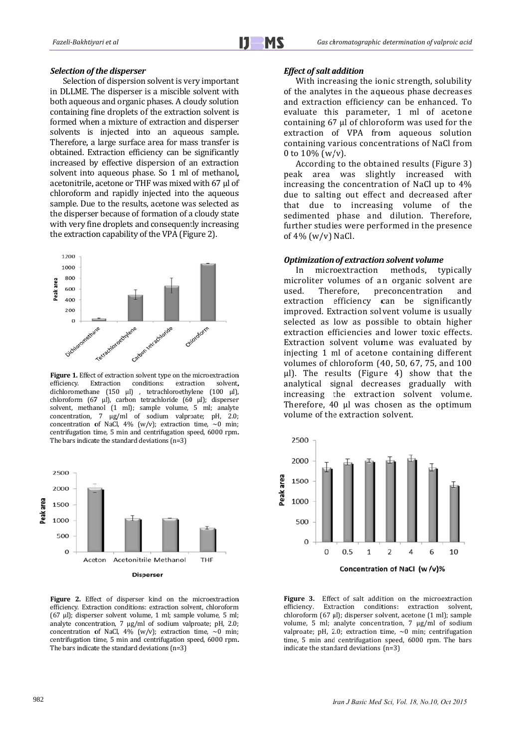#### **Selection of the disperser**

Selection of dispersion solvent is very important Selection of dispersion solvent is very important<br>in DLLME. The disperser is a miscible solvent with both aqueous and organic phases. A cloudy solution containing fine droplets of the extraction solvent is formed when a mixture of extraction and disperser solvents is injected into an aqueous sample. Therefore, a large surface area for mass transfer is obtained. Extraction efficiency can be significantly increased by effective dispersion of an extraction solvent into aqueous phase. So 1 ml of methanol, acetonitrile, acetone or THF was mixed with  $67$  µl of chloroform and rapidly injected into the aqueous sample. Due to the results, acetone was selected as the disperser because of formation of a cloudy state with very fine droplets and consequently increasing the extraction capability of the VPA (Figure 2).



Figure 1. Effect of extraction solvent type on the microextraction efficiency. dichloromethane (150 µl), tetrachloroethylene (100 µl), chloroform (67 μl), carbon tetrachloride (60 μl); disperser solvent, methanol (1 ml); sample volume, 5 ml; analyte concentration,  $7 \mu g/ml$  of sodium valproate; pH, 2.0; concentration of NaCl,  $4\%$  (w/v); extraction time,  $\sim$ 0 min; centrifugation time, 5 min and centrifugation speed, 6000 rpm. The bars indicate the standard deviations  $(n=3)$ Extraction conditions: extraction ction solvent,



**Disperser** 

Figure 2. Effect of disperser kind on the microextraction efficiency. Extraction conditions: extraction solvent, chloroform  $(67 \text{ µl})$ ; disperser solvent volume, 1 ml; sample volume, 5 ml; analyte concentration,  $7 \mu g/ml$  of sodium valproate; pH, 2.0; concentration of NaCl,  $4\%$  (w/v); extraction time,  $\sim$ 0 min; centrifugation time, 5 min and centrifugation speed, 6000 rpm. The bars indicate the standard deviations  $(n=3)$ 

#### *E Effect of salt a addition*

of the analytes in the aqueous phase decreases and extraction efficiency can be enhanced. To evaluate this parameter, 1 ml of acetone containing  $67 \mu l$  of chloroform was used for the extraction of VPA from aqueous solution containing various concentrations of NaCl from 0 to  $10\%$  (w/v). With increasing the ionic strength, solubility

peak area was slightly increased with increasing the concentration of NaCl up to  $4\%$ due to salting out effect and decreased after that due to increasing volume of the sedimented phase and dilution. Therefore, further studies were performed in the presence of  $4\%$  (w/v) NaCl. According to the obtained results (Figure 3)

#### *Optimization of extraction solvent volume*

microliter volumes of an organic solvent are used. extraction efficiency can be significantly improved. Extraction solvent volume is usually selected as low as possible to obtain higher extraction efficiencies and lower toxic effects. Extraction solvent volume was evaluated by injecting 1 ml of acetone containing different volumes of chloroform (40, 50, 67, 75, and 100 μl). The results (Figure 4) show that the analytical signal decreases gradually with increasing the extraction solvent volume. Therefore, 40 µl was chosen as the optimum volume of the extraction solvent. In microextraction methods, used. Therefore, pr reconcentration and typically 



Figure 3. Effect of salt addition on the microextraction e efficiency. Extr chloroform (67 μl); disperser solvent, acetone (1 ml); sample volume, 5 ml; analyte concentration, 7  $\mu$ g/ml of sodium valproate; pH, 2.0; extraction time,  $\sim$ 0 min; centrifugation time, 5 min and centrifugation speed, 6000 rpm. The bars indicate the standard deviations  $(n=3)$ raction conditions: extraction solvent,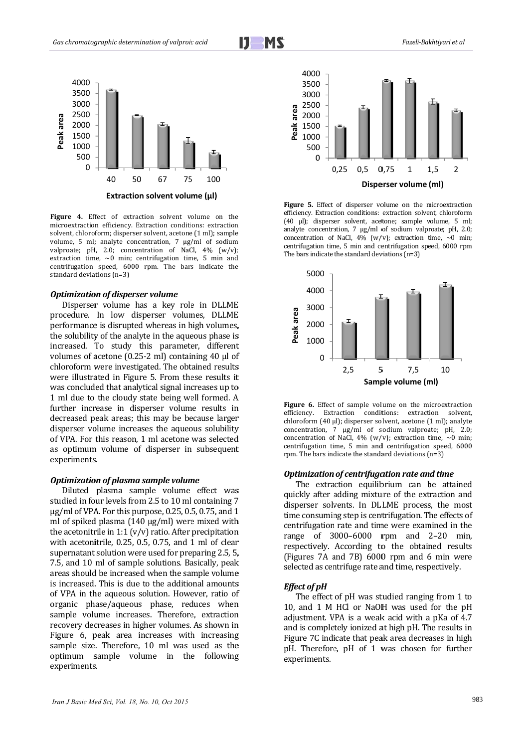$\blacksquare$  MS



Figure 4. Effect of extraction solvent volume on the microextraction efficiency. Extraction conditions: extraction solvent, chloroform; disperser solvent, acetone (1 ml); sample volume, 5 ml; analyte concentration, 7  $\mu$ g/ml of sodium valproate; pH, 2.0; concentration of NaCl,  $4\%$  (w/v); extraction time,  $\sim 0$  min; centrifugation time, 5 min and centrifugation speed, 6000 rpm. The bars indicate the standard deviations (n=3)

#### *Optimization of disperser volume*

Disperser volume has a key role in DLLME procedure. In low disperser volumes, DLLME performance is disrupted whereas in high volumes, the solubility of the analyte in the aqueous phase is increased. To study this parameter, different volumes of acetone  $(0.25-2$  ml) containing 40  $\mu$ l of chloroform were investigated. The obtained results were illustrated in Figure 5. From these results it were illustrated in Figure 5. From these results it<br>was concluded that analytical signal increases up to 1 ml due to the cloudy state being well formed. A further increase in disperser volume results in decreased peak areas; this may be because larger disperser volume increases the aqueous solubility of VPA. For this reason, 1 ml acetone was selected as optimum volume of disperser in subsequent experiments s. t<br>f t<br>s

#### *Optimization of plasma sample volume*

Diluted plasma sample volume effect was studied in four levels from 2.5 to 10 ml containing 7  $\mu$ g/ml of VPA. For this purpose, 0.25, 0.5, 0.75, and 1 ml of spiked plasma  $(140 \mu g/ml)$  were mixed with the acetonitrile in 1:1 ( $v/v$ ) ratio. After precipitation with acetonitrile,  $0.25$ ,  $0.5$ ,  $0.75$ , and  $1$  ml of clear supernatant solution were used for preparing 2.5, 5, 7.5, and 10 ml of sample solutions. Basically, peak areas should be increased when the sample volume is increased. This is due to the additional amounts of VPA in the aqueous solution. However, ratio of organic phase/aqueous phase, reduces when sample volume increases. Therefore, extraction recovery decreases in higher volumes. As shown in Figure 6, peak area increases with increasing sample size. Therefore, 10 ml was used as the optimum sample volume in the following experiments s. 



Figure 5. Effect of disperser volume on the microextraction efficiency. Extraction conditions: extraction solvent, chloroform (40 µl); disperser solvent, acetone; sample volume, 5 ml; analyte concentration,  $7 \mu g/ml$  of sodium valproate; pH, 2.0; concentration of NaCl,  $4\%$  (w/v); extraction time,  $\sim 0$  min; centrifugation time, 5 min and centrifugation speed, 6000 rpm The bars indicate the standard deviations  $(n=3)$ 



Figure 6. Effect of sample volume on the microextraction e efficiency. Extr chloroform (40 µl); disperser solvent, acetone (1 ml); analyte concentration, 7 µg/ml of sodium valproate; pH, 2.0; concentration of NaCl,  $4\%$  (w/v); extraction time,  $\sim 0$  min; centrifugation time, 5 min and centrifugation speed, 6000 rpm. The bars indicate the standard deviations  $(n=3)$ Extraction tions: extraction solvent,

#### *Optimization of centrifugation rate and time*

quickly after adding mixture of the extraction and disperser solvents. In DLLME process, the most time consuming step is centrifugation. The effects of centrifugation rate and time were examined in the range of 3000-6000 rpm and 2-20 min, respectively. According to the obtained results (Figures 7A and 7B) 6000 rpm and 6 min were selected as centrifuge rate and time, respectively. The extraction equilibrium can be attained

#### *E Effect of pH*

10, and 1 M HCl or NaOH was used for the pH adjustment. VPA is a weak acid with a pKa of 4.7 and is completely ionized at high pH. The results in Figure 7C indicate that peak area decreases in high pH. Therefore, pH of 1 was chosen for further e experiments. The effect of pH was studied ranging from 1 to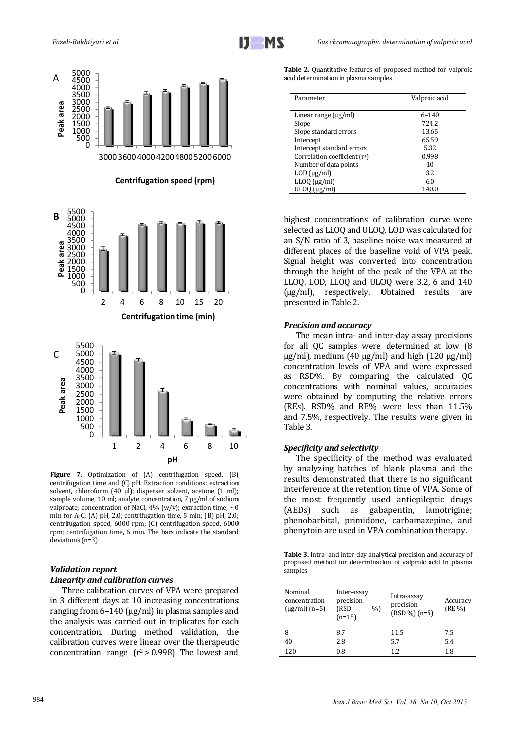

Figure 7. Optimization of (A) centrifugation speed, (B) centrifugation time and (C) pH. Extraction conditions: extraction solvent, chloroform (40 µl); disperser solvent, acetone (1 ml); sample volume, 10 ml; analyte concentration, 7 ug/ml of sodium valproate; concentration of NaCl, 4% (w/v); extraction time,  $\sim$ 0 min for A-C; (A) pH, 2.0; centrifugation time, 5 min; (B) pH, 2.0; centrifugation speed, 6000 rpm; (C) centrifugation speed, 6000 rpm; centrifugation time, 6 min. The bars indicate the standard deviations (n=3)

### **Validation report**

## **Linearity and calibration curves**

Three calibration curves of VPA were prepared in 3 different days at 10 increasing concentrations ranging from  $6-140$  ( $\mu$ g/ml) in plasma samples and the analysis was carried out in triplicates for each concentration. During method validation, the calibration curves were linear over the therapeutic concentration range  $(r^2 > 0.998)$ . The lowest and

| <b>Table 2.</b> Quantitative features of proposed method for valproic |  |  |  |
|-----------------------------------------------------------------------|--|--|--|
| acid determination in plasma samples                                  |  |  |  |

| Parameter                       | Valproic acid |
|---------------------------------|---------------|
| Linear range $(\mu g/ml)$       | $6 - 140$     |
| Slope                           | 724.2         |
| Slope standard errors           | 13.65         |
| Intercept                       | 65.59         |
| Intercept standard errors       | 5.32          |
| Correlation coefficient $(r^2)$ | 0.998         |
| Number of data points           | 10            |
| $LOD$ ( $\mu$ g/ml)             | 3.2           |
| $LLOQ$ ( $\mu$ g/ml)            | 6.0           |
| ULOO (ug/ml)                    | 140.0         |

highest concentrations of calibration curve were selected as LLOQ and ULOQ. LOD was calculated for an S/N ratio of 3, baseline noise was measured at different places of the baseline void of VPA peak. Signal height was converted into concentration through the height of the peak of the VPA at the LLOQ. LOD, LLOQ and ULOQ were 3.2, 6 and 140  $(\mu g/ml)$ , respectively. Obtained results are presented in Table 2.

#### **Precision and accuracy**

The mean intra- and inter-day assay precisions for all QC samples were determined at low (8)  $\mu$ g/ml), medium (40  $\mu$ g/ml) and high (120  $\mu$ g/ml) concentration levels of VPA and were expressed as RSD%. By comparing the calculated OC concentrations with nominal values, accuracies were obtained by computing the relative errors (REs). RSD% and RE% were less than 11.5% and 7.5%, respectively. The results were given in Table 3.

#### **Specificity and selectivity**

The specificity of the method was evaluated by analyzing batches of blank plasma and the results demonstrated that there is no significant interference at the retention time of VPA. Some of the most frequently used antiepileptic drugs as gabapentin, lamotrigine; such  $(AEDs)$ phenobarbital, primidone, carbamazepine, and phenytoin are used in VPA combination therapy.

Table 3. Intra- and inter-day analytical precision and accuracy of proposed method for determination of valproic acid in plasma samples

| Nominal<br>concentration<br>$(\mu$ g/ml $)(n=5)$ | Inter-assay<br>precision<br>(RSD<br>$(n=15)$ | %) | Intra-assay<br>precision<br>$(RSD %) (n=5)$ | Accuracy<br>$(RE\% )$ |
|--------------------------------------------------|----------------------------------------------|----|---------------------------------------------|-----------------------|
| 8                                                | 8.7                                          |    | 11.5                                        | 7.5                   |
| 40                                               | 2.8                                          |    | 5.7                                         | 5.4                   |
| 120                                              | 0.8                                          |    | 1.2.                                        | 1.8                   |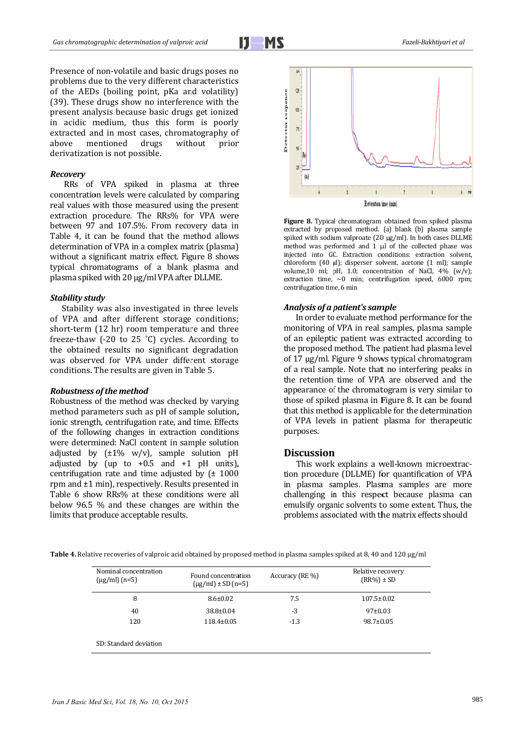Presence of non-volatile and basic drugs poses no problems due to the very different characteristics of the AEDs (boiling point, pKa and volatility) (39). These drugs show no interference with the present analysis because basic drugs get ionized in acidic medium, thus this form is poorly extracted and in most cases, chromatography of mentioned ahove drugs without prior derivatization is not possible.

#### Recovery

RRs of VPA spiked in plasma at three concentration levels were calculated by comparing real values with those measured using the present extraction procedure. The RRs% for VPA were between 97 and 107.5%. From recovery data in Table 4, it can be found that the method allows determination of VPA in a complex matrix (plasma) without a significant matrix effect. Figure 8 shows typical chromatograms of a blank plasma and plasma spiked with 20 µg/ml VPA after DLLME.

#### **Stability study**

Stability was also investigated in three levels of VPA and after different storage conditions; short-term (12 hr) room temperature and three freeze-thaw (-20 to 25 °C) cycles. According to the obtained results no significant degradation was observed for VPA under different storage conditions. The results are given in Table 5.

#### Robustness of the method

Robustness of the method was checked by varying method parameters such as pH of sample solution, ionic strength, centrifugation rate, and time. Effects of the following changes in extraction conditions were determined: NaCl content in sample solution adjusted by  $(\pm 1\% \text{ w/v})$ , sample solution pH<br>adjusted by (up to +0.5 and +1 pH units), centrifugation rate and time adjusted by  $f$  1000 rpm and  $\pm 1$  min), respectively. Results presented in Table 6 show RRs% at these conditions were all below 96.5 % and these changes are within the limits that produce acceptable results.



Figure 8. Typical chromatogram obtained from spiked plasma extracted by proposed method. (a) blank (b) plasma sample spiked with sodium valproate  $(20 \mu g/ml)$ . In both cases DLLME method was performed and 1 µl of the collected phase was injected into GC. Extraction conditions: extraction solvent, chloroform (40 µl); disperser solvent, acetone (1 ml); sample volume, 10 ml; pH, 1.0; concentration of NaCl, 4% (w/v); extraction time,  $\sim 0$  min; centrifugation speed, 6000 rpm; centrifugation time, 6 min

## Analysis of a patient's sample

In order to evaluate method performance for the monitoring of VPA in real samples, plasma sample of an epileptic patient was extracted according to the proposed method. The patient had plasma level of 17 ug/ml. Figure 9 shows typical chromatogram of a real sample. Note that no interfering peaks in the retention time of VPA are observed and the appearance of the chromatogram is very similar to those of spiked plasma in Figure 8. It can be found that this method is applicable for the determination of VPA levels in patient plasma for therapeutic purposes.

## **Discussion**

This work explains a well-known microextraction procedure (DLLME) for quantification of VPA in plasma samples. Plasma samples are more challenging in this respect because plasma can emulsify organic solvents to some extent. Thus, the problems associated with the matrix effects should

| Table 4. Relative recoveries of valproic acid obtained by proposed method in plasma samples spiked at 8, 40 and 120 µg/ml |  |  |  |
|---------------------------------------------------------------------------------------------------------------------------|--|--|--|
|---------------------------------------------------------------------------------------------------------------------------|--|--|--|

| Nominal concentration<br>$(\mu g/ml)(n=5)$ | Found concentration<br>$\mu$ g/ml) ± SD (n=5) | Accuracy (RE %) | Relative recovery<br>$(RR\%) \pm SD$ |
|--------------------------------------------|-----------------------------------------------|-----------------|--------------------------------------|
| 8                                          | $8.6 \pm 0.02$                                | 7.5             | $107.5 \pm 0.02$                     |
| 40                                         | $38.8 \pm 0.04$                               | -3              | 97±0.03                              |
| 120                                        | $118.4 \pm 0.05$                              | $-1.3$          | $98.7 \pm 0.05$                      |
| SD: Standard deviation                     |                                               |                 |                                      |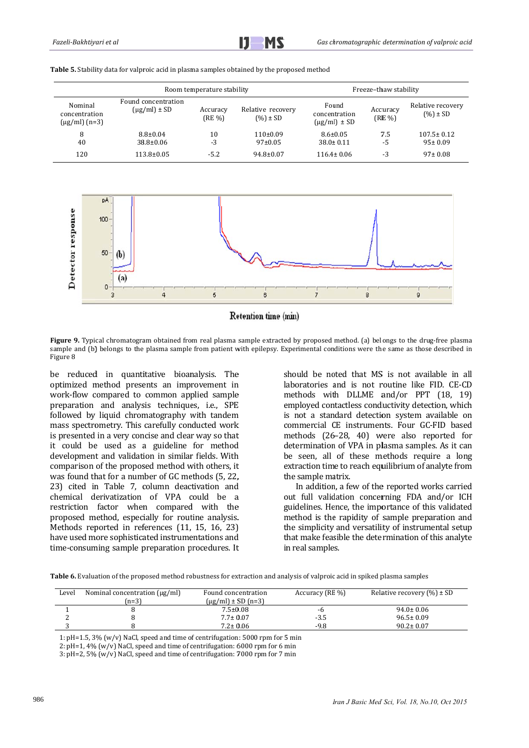|                                                   |                                            | Freeze-thaw stability |                                   |                                               |                      |                                   |
|---------------------------------------------------|--------------------------------------------|-----------------------|-----------------------------------|-----------------------------------------------|----------------------|-----------------------------------|
| Nominal<br>concentration<br>$(\mu$ g/ml $)$ (n=3) | Found concentration<br>$(\mu g/ml) \pm SD$ | Accuracy<br>(RE %)    | Relative recovery<br>$(%) \pm SD$ | Found<br>concentration<br>$(\mu g/ml) \pm SD$ | Accuracy<br>$(RE\%)$ | Relative recovery<br>$(%) \pm SD$ |
| 8<br>40                                           | $8.8 \pm 0.04$<br>$38.8 \pm 0.06$          | 10<br>-3              | $110\pm0.09$<br>$97 \pm 0.05$     | $8.6 \pm 0.05$<br>$38.0 \pm 0.11$             | 7.5<br>-5            | $107.5 \pm 0.12$<br>$95 \pm 0.09$ |
| 120                                               | $113.8 \pm 0.05$                           | $-5.2$                | $94.8 \pm 0.07$                   | $116.4 \pm 0.06$                              | $-3$                 | $97 \pm 0.08$                     |

MS

**Table 5.** Stability data for valproic acid in plasma samples obtained by the proposed method





Figure 9. Typical chromatogram obtained from real plasma sample extracted by proposed method. (a) belongs to the drug-free plasma sample and (b) belongs to the plasma sample from patient with epilepsy. Experimental conditions were the same as those described in Figure 8

be reduced in quantitative bioanalysis. The optimized method presents an improvement in work-flow compared to common applied sample preparation and analysis techniques, i.e., SPE followed by liquid chromatography with tandem mass spectrometry. This carefully conducted work is presented in a very concise and clear way so that is presented in a very concise and clear way so that<br>it could be used as a guideline for method development and validation in similar fields. With comparison of the proposed method with others, it was found that for a number of GC methods (5, 22, 23) cited in Table 7, column deactivation and chemical derivatization of VPA could be a restriction factor when compared with the proposed method, especially for routine analysis. Methods reported in references (11, 15, 16, 23) have used more sophisticated instrumentations and time-consuming sample preparation procedures. It t, e skindige skindige skindige skindige skindige skindige skindige skindige skindige skindige skindige skindige <br>Artiste skindige skindige skindige skindige skindige skindige skindige skindige skindige skindige skindige ski<br>

laboratories and is not routine like FID. CE-CD methods with DLLME and/or PPT (18, 19) employed contactless conductivity detection, which is not a standard detection system available on commercial CE instruments. Four GC-FID based methods (26-28, 40) were also reported for determination of VPA in plasma samples. As it can be seen, all of these methods require a long extraction time to reach equilibrium of analyte from the sample matrix. should be noted that MS is not available in all

out full validation concerning FDA and/or ICH guidelines. Hence, the importance of this validated method is the rapidity of sample preparation and the simplicity and versatility of instrumental setup that make feasible the determination of this analyte in real samples. In addition, a few of the reported works carried

Table 6. Evaluation of the proposed method robustness for extraction and analysis of valproic acid in spiked plasma samples

| Level | Nominal concentration (µg/ml) | Found concentration    | Accuracy (RE %) | Relative recovery $(\% ) \pm SD$ |
|-------|-------------------------------|------------------------|-----------------|----------------------------------|
|       | $(n=3)$                       | $\mu$ g/ml) ± SD (n=3) |                 |                                  |
|       |                               | $7.5 \pm 0.08$         | -b              | $94.0 \pm 0.06$                  |
|       |                               | $7.7 \pm 0.07$         | -3.5            | $96.5 \pm 0.09$                  |
|       |                               | $7.2 \pm 0.06$         | $-9.8$          | $90.2 \pm 0.07$                  |
|       |                               |                        |                 |                                  |

1:  $pH=1.5$ ,  $3\%$  (w/v) NaCl, speed and time of centrifugation:  $5000$  rpm for  $5$  min

 $2: pH=1, 4% (w/v)$  NaCl, speed and time of centrifugation: 6000 rpm for 6 min

 $3: pH=2, 5% (w/v)$  NaCl, speed and time of centrifugation:  $7000$  rpm for  $7$  min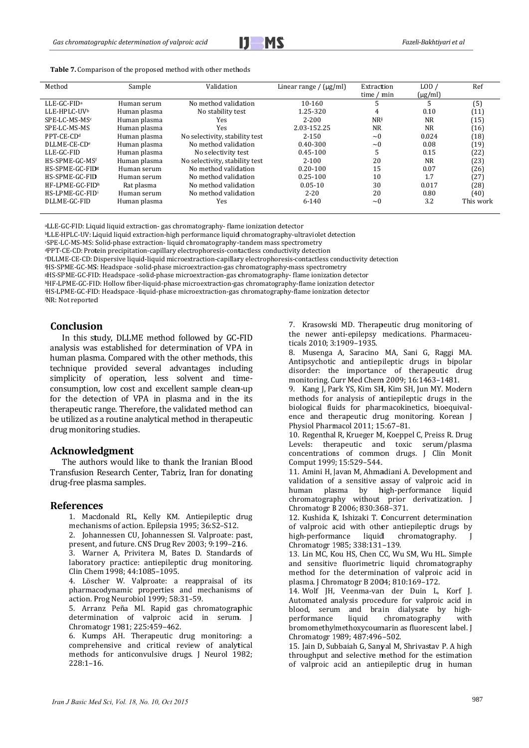

Table 7. Comparison of the proposed method with other methods

| Method                      | Sample       | Validation                     | Linear range / $(\mu g/ml)$ | Extraction<br>time / min | LOD/<br>$(\mu g/ml)$ | Ref       |
|-----------------------------|--------------|--------------------------------|-----------------------------|--------------------------|----------------------|-----------|
| $LLE-GC-FIDa$               | Human serum  | No method validation           | $10 - 160$                  | 5                        |                      | (5)       |
| LLE-HPLC-UVb                | Human plasma | No stability test              | 1.25-320                    | 4                        | 0.10                 | (11)      |
| SPE-LC-MS-MSc               | Human plasma | Yes                            | $2 - 200$                   | NRi                      | NR.                  | (15)      |
| SPE-LC-MS-MS                | Human plasma | Yes                            | 2.03-152.25                 | NR.                      | NR.                  | (16)      |
| PPT-CE-CD <sup>d</sup>      | Human plasma | No selectivity, stability test | $2 - 150$                   | $\sim$ 0                 | 0.024                | (18)      |
| DLLME-CE-CD <sup>e</sup>    | Human plasma | No method validation           | 0.40-300                    | $\sim 0$                 | 0.08                 | (19)      |
| LLE-GC-FID                  | Human plasma | No selectivity test            | $0.45 - 100$                | C.                       | 0.15                 | (22)      |
| HS-SPME-GC-MSf              | Human plasma | No selectivity, stability test | $2 - 100$                   | 20                       | NR.                  | (23)      |
| HS-SPME-GC-FID <sup>g</sup> | Human serum  | No method validation           | $0.20 - 100$                | 15                       | 0.07                 | (26)      |
| HS-SPME-GC-FID              | Human serum  | No method validation           | $0.25 - 100$                | 10                       | 1.7                  | (27)      |
| HF-LPME-GC-FIDh             | Rat plasma   | No method validation           | $0.05 - 10$                 | 30                       | 0.017                | (28)      |
| HS-LPME-GC-FID <sup>i</sup> | Human serum  | No method validation           | $2 - 20$                    | 20                       | 0.80                 | (40)      |
| DLLME-GC-FID                | Human plasma | Yes                            | $6 - 140$                   | $\sim$ 0                 | 3.2                  | This work |

aLLE-GC-FID: Liquid liquid extraction-gas chromatography-flame ionization detector

<sup>b</sup>LLE-HPLC-UV: Liquid liquid extraction-high performance liquid chromatography-ultraviolet detection

«SPE-LC-MS-MS: Solid-phase extraction-liquid chromatography-tandem mass spectrometry

<sup>d</sup>PPT-CE-CD: Protein precipitation-capillary electrophoresis-contactless conductivity detection

eDLLME-CE-CD: Dispersive liquid-liquid microextraction-capillary electrophoresis-contactless conductivity detection

'HS-SPME-GC-MS: Headspace-solid-phase microextraction-gas chromatography-mass spectrometry

<sup>8HS-SPME-GC-FID: Headspace-solid-phase microextraction-gas chromatography-flame ionization detector</sup>

hHF-LPME-GC-FID: Hollow fiber-liquid-phase microextraction-gas chromatography-flame ionization detector 'HS-LPME-GC-FID: Headspace -liquid-phase microextraction-gas chromatography-flame ionization detector

iNR: Not reported

## **Conclusion**

In this study, DLLME method followed by GC-FID analysis was established for determination of VPA in human plasma. Compared with the other methods, this technique provided several advantages including simplicity of operation, less solvent and timeconsumption, low cost and excellent sample clean-up for the detection of VPA in plasma and in the its therapeutic range. Therefore, the validated method can be utilized as a routine analytical method in therapeutic drug monitoring studies.

#### **Acknowledgment**

The authors would like to thank the Iranian Blood Transfusion Research Center, Tabriz, Iran for donating drug-free plasma samples.

#### **References**

1. Macdonald RL, Kelly KM. Antiepileptic drug mechanisms of action. Epilepsia 1995; 36:S2-S12.

2. Johannessen CU, Johannessen SI. Valproate: past, present, and future. CNS Drug Rev 2003; 9:199-216.

3. Warner A, Privitera M, Bates D. Standards of laboratory practice: antiepileptic drug monitoring. Clin Chem 1998: 44:1085-1095.

4. Löscher W. Valproate: a reappraisal of its pharmacodynamic properties and mechanisms of action. Prog Neurobiol 1999; 58:31-59.

5. Arranz Peña MI, Rapid gas chromatographic determination of valproic acid in serum. J Chromatogr 1981; 225:459-462.

6. Kumps AH. Therapeutic drug monitoring: a comprehensive and critical review of analytical methods for anticonvulsive drugs. J Neurol 1982;  $228:1 - 16.$ 

7. Krasowski MD. Therapeutic drug monitoring of the newer anti-epilepsy medications. Pharmaceuticals 2010; 3:1909-1935.

8. Musenga A, Saracino MA, Sani G, Raggi MA. Antipsychotic and antiepileptic drugs in bipolar disorder: the importance of therapeutic drug monitoring. Curr Med Chem 2009; 16:1463-1481.

9. Kang I. Park YS, Kim SH, Kim SH, Jun MY, Modern methods for analysis of antiepileptic drugs in the biological fluids for pharmacokinetics, bioequivalence and therapeutic drug monitoring. Korean J Physiol Pharmacol 2011: 15:67-81.

10. Regenthal R, Krueger M, Koeppel C, Preiss R. Drug Levels: therapeutic and toxic serum/plasma concentrations of common drugs. J Clin Monit Comput 1999; 15:529-544.

11. Amini H, Javan M, Ahmadiani A. Development and validation of a sensitive assay of valproic acid in plasma by high-performance liquid human chromatography without prior derivatization. J Chromatogr B 2006; 830:368-371.

12. Kushida K, Ishizaki T. Concurrent determination of valproic acid with other antiepileptic drugs by high-performance liquid chromatography.  $\mathbf{I}$ Chromatogr 1985; 338:131-139.

13. Lin MC, Kou HS, Chen CC, Wu SM, Wu HL. Simple and sensitive fluorimetric liquid chromatography method for the determination of valproic acid in plasma. J Chromatogr B 2004; 810:169-172.

14. Wolf IH. Veenma-van der Duin L. Korf I. Automated analysis procedure for valproic acid in blood, serum and brain dialysate by highperformance liquid chromatography with bromomethylmethoxycoumarin as fluorescent label. J Chromatogr 1989; 487:496-502.

15. Jain D, Subbaiah G, Sanval M, Shrivastav P. A high throughput and selective method for the estimation of valproic acid an antiepileptic drug in human